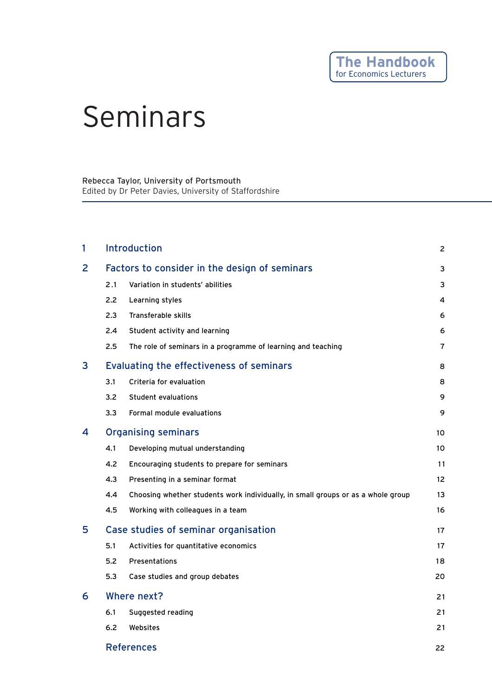# Seminars

Rebecca Taylor, University of Portsmouth Edited by Dr Peter Davies, University of Staffordshire

| 1              | Introduction                                  |                                                                                  | $\overline{2}$ |
|----------------|-----------------------------------------------|----------------------------------------------------------------------------------|----------------|
| $\overline{2}$ | Factors to consider in the design of seminars |                                                                                  |                |
|                | 2.1                                           | Variation in students' abilities                                                 | 3              |
|                | 2.2                                           | Learning styles                                                                  | 4              |
|                | 2.3                                           | <b>Transferable skills</b>                                                       | 6              |
|                | 2.4                                           | Student activity and learning                                                    | 6              |
|                | 2.5                                           | The role of seminars in a programme of learning and teaching                     | 7              |
| 3              | Evaluating the effectiveness of seminars      |                                                                                  |                |
|                | 3.1                                           | Criteria for evaluation                                                          | 8              |
|                | 3.2                                           | <b>Student evaluations</b>                                                       | 9              |
|                | 3.3                                           | Formal module evaluations                                                        | 9              |
| 4              | <b>Organising seminars</b>                    |                                                                                  |                |
|                | 4.1                                           | Developing mutual understanding                                                  | 10             |
|                | 4.2                                           | Encouraging students to prepare for seminars                                     | 11             |
|                | 4.3                                           | Presenting in a seminar format                                                   | 12             |
|                | 4.4                                           | Choosing whether students work individually, in small groups or as a whole group | 13             |
|                | 4.5                                           | Working with colleagues in a team                                                | 16             |
| 5              | Case studies of seminar organisation          |                                                                                  |                |
|                | 5.1                                           | Activities for quantitative economics                                            | 17             |
|                | 5.2                                           | Presentations                                                                    | 18             |
|                | 5.3                                           | Case studies and group debates                                                   | 20             |
| 6              | Where next?                                   |                                                                                  |                |
|                | 6.1                                           | Suggested reading                                                                | 21             |
|                | 6.2                                           | Websites                                                                         | 21             |
|                | <b>References</b>                             |                                                                                  |                |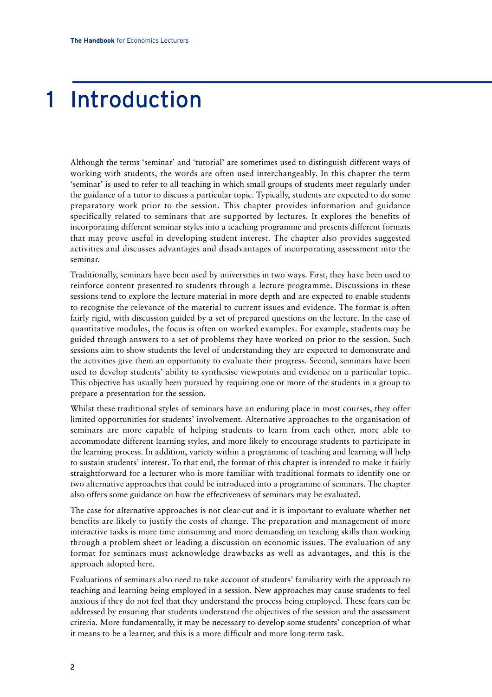# 1 Introduction

Although the terms 'seminar' and 'tutorial' are sometimes used to distinguish different ways of working with students, the words are often used interchangeably. In this chapter the term 'seminar' is used to refer to all teaching in which small groups of students meet regularly under the guidance of a tutor to discuss a particular topic. Typically, students are expected to do some preparatory work prior to the session. This chapter provides information and guidance specifically related to seminars that are supported by lectures. It explores the benefits of incorporating different seminar styles into a teaching programme and presents different formats that may prove useful in developing student interest. The chapter also provides suggested activities and discusses advantages and disadvantages of incorporating assessment into the seminar.

Traditionally, seminars have been used by universities in two ways. First, they have been used to reinforce content presented to students through a lecture programme. Discussions in these sessions tend to explore the lecture material in more depth and are expected to enable students to recognise the relevance of the material to current issues and evidence. The format is often fairly rigid, with discussion guided by a set of prepared questions on the lecture. In the case of quantitative modules, the focus is often on worked examples. For example, students may be guided through answers to a set of problems they have worked on prior to the session. Such sessions aim to show students the level of understanding they are expected to demonstrate and the activities give them an opportunity to evaluate their progress. Second, seminars have been used to develop students' ability to synthesise viewpoints and evidence on a particular topic. This objective has usually been pursued by requiring one or more of the students in a group to prepare a presentation for the session.

Whilst these traditional styles of seminars have an enduring place in most courses, they offer limited opportunities for students' involvement. Alternative approaches to the organisation of seminars are more capable of helping students to learn from each other, more able to accommodate different learning styles, and more likely to encourage students to participate in the learning process. In addition, variety within a programme of teaching and learning will help to sustain students' interest. To that end, the format of this chapter is intended to make it fairly straightforward for a lecturer who is more familiar with traditional formats to identify one or two alternative approaches that could be introduced into a programme of seminars. The chapter also offers some guidance on how the effectiveness of seminars may be evaluated.

The case for alternative approaches is not clear-cut and it is important to evaluate whether net benefits are likely to justify the costs of change. The preparation and management of more interactive tasks is more time consuming and more demanding on teaching skills than working through a problem sheet or leading a discussion on economic issues. The evaluation of any format for seminars must acknowledge drawbacks as well as advantages, and this is the approach adopted here.

Evaluations of seminars also need to take account of students' familiarity with the approach to teaching and learning being employed in a session. New approaches may cause students to feel anxious if they do not feel that they understand the process being employed. These fears can be addressed by ensuring that students understand the objectives of the session and the assessment criteria. More fundamentally, it may be necessary to develop some students' conception of what it means to be a learner, and this is a more difficult and more long-term task.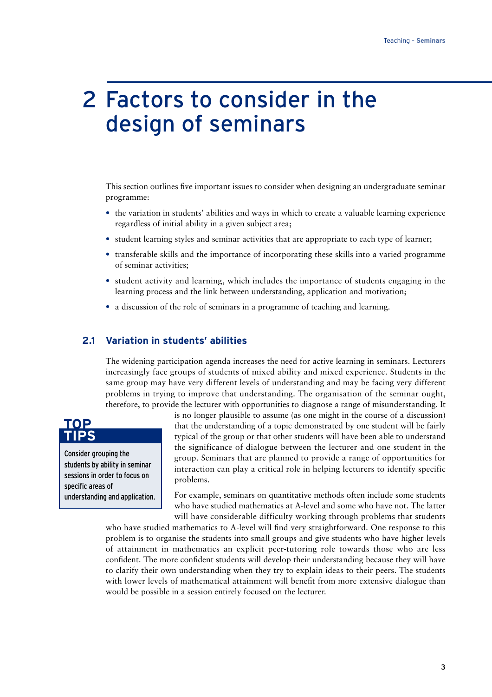# 2 Factors to consider in the design of seminars

This section outlines five important issues to consider when designing an undergraduate seminar programme:

- the variation in students' abilities and ways in which to create a valuable learning experience regardless of initial ability in a given subject area;
- student learning styles and seminar activities that are appropriate to each type of learner;
- transferable skills and the importance of incorporating these skills into a varied programme of seminar activities;
- student activity and learning, which includes the importance of students engaging in the learning process and the link between understanding, application and motivation;
- a discussion of the role of seminars in a programme of teaching and learning.

## **2.1 Variation in students' abilities**

The widening participation agenda increases the need for active learning in seminars. Lecturers increasingly face groups of students of mixed ability and mixed experience. Students in the same group may have very different levels of understanding and may be facing very different problems in trying to improve that understanding. The organisation of the seminar ought, therefore, to provide the lecturer with opportunities to diagnose a range of misunderstanding. It



Consider grouping the students by ability in seminar sessions in order to focus on specific areas of understanding and application. is no longer plausible to assume (as one might in the course of a discussion) that the understanding of a topic demonstrated by one student will be fairly typical of the group or that other students will have been able to understand the significance of dialogue between the lecturer and one student in the group. Seminars that are planned to provide a range of opportunities for interaction can play a critical role in helping lecturers to identify specific problems.

For example, seminars on quantitative methods often include some students who have studied mathematics at A-level and some who have not. The latter will have considerable difficulty working through problems that students

who have studied mathematics to A-level will find very straightforward. One response to this problem is to organise the students into small groups and give students who have higher levels of attainment in mathematics an explicit peer-tutoring role towards those who are less confident. The more confident students will develop their understanding because they will have to clarify their own understanding when they try to explain ideas to their peers. The students with lower levels of mathematical attainment will benefit from more extensive dialogue than would be possible in a session entirely focused on the lecturer.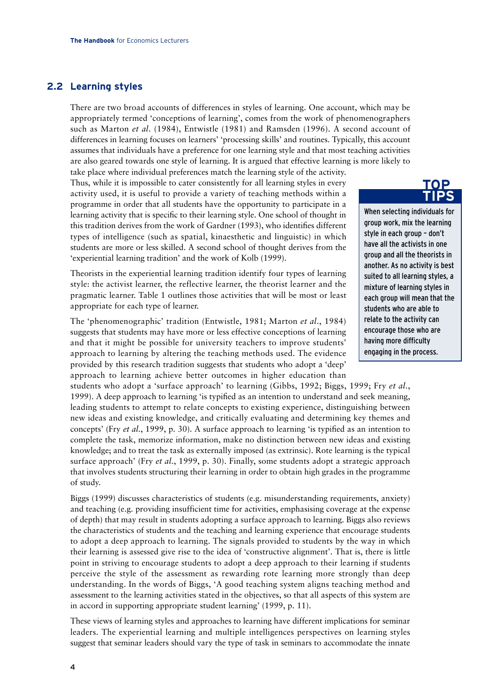#### **2.2 Learning styles**

There are two broad accounts of differences in styles of learning. One account, which may be appropriately termed 'conceptions of learning', comes from the work of phenomenographers such as Marton *et al*. (1984), Entwistle (1981) and Ramsden (1996). A second account of differences in learning focuses on learners' 'processing skills' and routines. Typically, this account assumes that individuals have a preference for one learning style and that most teaching activities are also geared towards one style of learning. It is argued that effective learning is more likely to

take place where individual preferences match the learning style of the activity. Thus, while it is impossible to cater consistently for all learning styles in every activity used, it is useful to provide a variety of teaching methods within a programme in order that all students have the opportunity to participate in a learning activity that is specific to their learning style. One school of thought in this tradition derives from the work of Gardner (1993), who identifies different types of intelligence (such as spatial, kinaesthetic and linguistic) in which students are more or less skilled. A second school of thought derives from the 'experiential learning tradition' and the work of Kolb (1999).

Theorists in the experiential learning tradition identify four types of learning style: the activist learner, the reflective learner, the theorist learner and the pragmatic learner. Table 1 outlines those activities that will be most or least appropriate for each type of learner.

The 'phenomenographic' tradition (Entwistle, 1981; Marton *et al*., 1984) suggests that students may have more or less effective conceptions of learning and that it might be possible for university teachers to improve students' approach to learning by altering the teaching methods used. The evidence provided by this research tradition suggests that students who adopt a 'deep' approach to learning achieve better outcomes in higher education than

students who adopt a 'surface approach' to learning (Gibbs, 1992; Biggs, 1999; Fry *et al*., 1999). A deep approach to learning 'is typified as an intention to understand and seek meaning, leading students to attempt to relate concepts to existing experience, distinguishing between new ideas and existing knowledge, and critically evaluating and determining key themes and concepts' (Fry *et al*., 1999, p. 30). A surface approach to learning 'is typified as an intention to complete the task, memorize information, make no distinction between new ideas and existing knowledge; and to treat the task as externally imposed (as extrinsic). Rote learning is the typical surface approach' (Fry *et al*., 1999, p. 30). Finally, some students adopt a strategic approach that involves students structuring their learning in order to obtain high grades in the programme of study.

Biggs (1999) discusses characteristics of students (e.g. misunderstanding requirements, anxiety) and teaching (e.g. providing insufficient time for activities, emphasising coverage at the expense of depth) that may result in students adopting a surface approach to learning. Biggs also reviews the characteristics of students and the teaching and learning experience that encourage students to adopt a deep approach to learning. The signals provided to students by the way in which their learning is assessed give rise to the idea of 'constructive alignment'. That is, there is little point in striving to encourage students to adopt a deep approach to their learning if students perceive the style of the assessment as rewarding rote learning more strongly than deep understanding. In the words of Biggs, 'A good teaching system aligns teaching method and assessment to the learning activities stated in the objectives, so that all aspects of this system are in accord in supporting appropriate student learning' (1999, p. 11).

These views of learning styles and approaches to learning have different implications for seminar leaders. The experiential learning and multiple intelligences perspectives on learning styles suggest that seminar leaders should vary the type of task in seminars to accommodate the innate

# **TOP TIPS**

When selecting individuals for group work, mix the learning style in each group – don't have all the activists in one group and all the theorists in another. As no activity is best suited to all learning styles, a mixture of learning styles in each group will mean that the students who are able to relate to the activity can encourage those who are having more difficulty engaging in the process.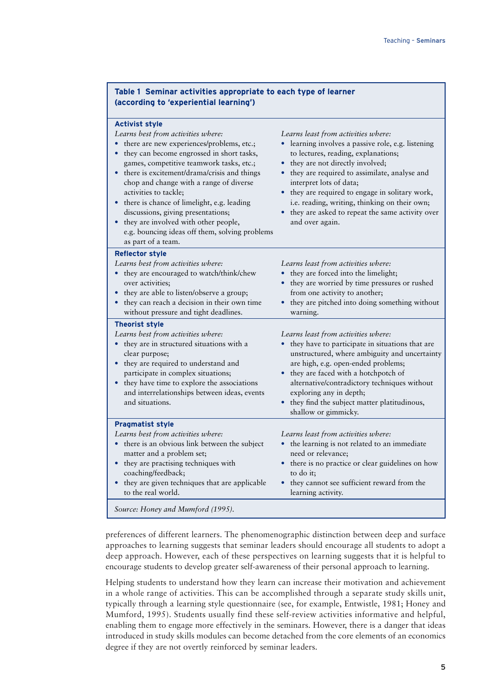| Table 1 Seminar activities appropriate to each type of learner<br>(according to 'experiential learning')                                                                                                                                                                                                                                                                                                                                                                                                                                   |                                                                                                                                                                                                                                                                                                                                                                                                                                |  |  |  |
|--------------------------------------------------------------------------------------------------------------------------------------------------------------------------------------------------------------------------------------------------------------------------------------------------------------------------------------------------------------------------------------------------------------------------------------------------------------------------------------------------------------------------------------------|--------------------------------------------------------------------------------------------------------------------------------------------------------------------------------------------------------------------------------------------------------------------------------------------------------------------------------------------------------------------------------------------------------------------------------|--|--|--|
| <b>Activist style</b><br>Learns best from activities where:<br>there are new experiences/problems, etc.;<br>they can become engrossed in short tasks,<br>games, competitive teamwork tasks, etc.;<br>there is excitement/drama/crisis and things<br>$\bullet$<br>chop and change with a range of diverse<br>activities to tackle;<br>there is chance of limelight, e.g. leading<br>discussions, giving presentations;<br>they are involved with other people,<br>٠<br>e.g. bouncing ideas off them, solving problems<br>as part of a team. | Learns least from activities where:<br>· learning involves a passive role, e.g. listening<br>to lectures, reading, explanations;<br>• they are not directly involved;<br>• they are required to assimilate, analyse and<br>interpret lots of data;<br>• they are required to engage in solitary work,<br>i.e. reading, writing, thinking on their own;<br>• they are asked to repeat the same activity over<br>and over again. |  |  |  |
| <b>Reflector style</b><br>Learns best from activities where:<br>• they are encouraged to watch/think/chew<br>over activities;<br>• they are able to listen/observe a group;<br>they can reach a decision in their own time<br>without pressure and tight deadlines.                                                                                                                                                                                                                                                                        | Learns least from activities where:<br>they are forced into the limelight;<br>• they are worried by time pressures or rushed<br>from one activity to another;<br>they are pitched into doing something without<br>warning.                                                                                                                                                                                                     |  |  |  |
| <b>Theorist style</b><br>Learns best from activities where:<br>• they are in structured situations with a<br>clear purpose;<br>• they are required to understand and<br>participate in complex situations;<br>they have time to explore the associations<br>$\bullet$<br>and interrelationships between ideas, events<br>and situations.                                                                                                                                                                                                   | Learns least from activities where:<br>• they have to participate in situations that are<br>unstructured, where ambiguity and uncertainty<br>are high, e.g. open-ended problems;<br>• they are faced with a hotchpotch of<br>alternative/contradictory techniques without<br>exploring any in depth;<br>they find the subject matter platitudinous,<br>shallow or gimmicky.                                                    |  |  |  |
| <b>Pragmatist style</b><br>Learns best from activities where:<br>• there is an obvious link between the subject<br>matter and a problem set;<br>they are practising techniques with<br>coaching/feedback;<br>they are given techniques that are applicable<br>$\bullet$<br>to the real world.<br>Source: Honey and Mumford (1995).                                                                                                                                                                                                         | Learns least from activities where:<br>• the learning is not related to an immediate<br>need or relevance;<br>• there is no practice or clear guidelines on how<br>to do it;<br>they cannot see sufficient reward from the<br>learning activity.                                                                                                                                                                               |  |  |  |

preferences of different learners. The phenomenographic distinction between deep and surface approaches to learning suggests that seminar leaders should encourage all students to adopt a deep approach. However, each of these perspectives on learning suggests that it is helpful to encourage students to develop greater self-awareness of their personal approach to learning.

Helping students to understand how they learn can increase their motivation and achievement in a whole range of activities. This can be accomplished through a separate study skills unit, typically through a learning style questionnaire (see, for example, Entwistle, 1981; Honey and Mumford, 1995). Students usually find these self-review activities informative and helpful, enabling them to engage more effectively in the seminars. However, there is a danger that ideas introduced in study skills modules can become detached from the core elements of an economics degree if they are not overtly reinforced by seminar leaders.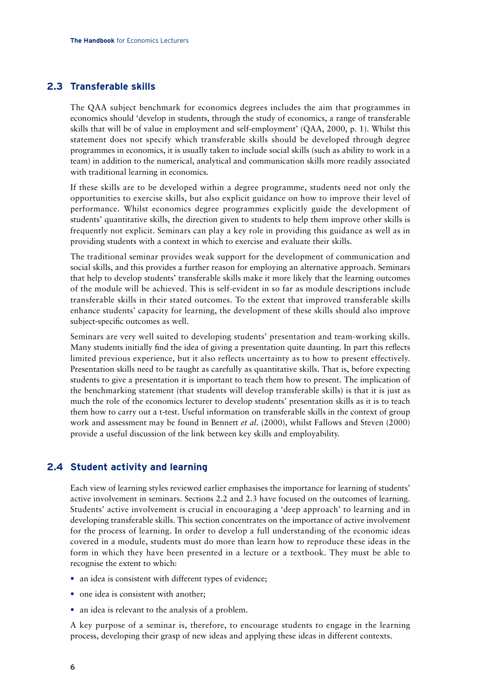## **2.3 Transferable skills**

The QAA subject benchmark for economics degrees includes the aim that programmes in economics should 'develop in students, through the study of economics, a range of transferable skills that will be of value in employment and self-employment' (QAA, 2000, p. 1). Whilst this statement does not specify which transferable skills should be developed through degree programmes in economics, it is usually taken to include social skills (such as ability to work in a team) in addition to the numerical, analytical and communication skills more readily associated with traditional learning in economics.

If these skills are to be developed within a degree programme, students need not only the opportunities to exercise skills, but also explicit guidance on how to improve their level of performance. Whilst economics degree programmes explicitly guide the development of students' quantitative skills, the direction given to students to help them improve other skills is frequently not explicit. Seminars can play a key role in providing this guidance as well as in providing students with a context in which to exercise and evaluate their skills.

The traditional seminar provides weak support for the development of communication and social skills, and this provides a further reason for employing an alternative approach. Seminars that help to develop students' transferable skills make it more likely that the learning outcomes of the module will be achieved. This is self-evident in so far as module descriptions include transferable skills in their stated outcomes. To the extent that improved transferable skills enhance students' capacity for learning, the development of these skills should also improve subject-specific outcomes as well.

Seminars are very well suited to developing students' presentation and team-working skills. Many students initially find the idea of giving a presentation quite daunting. In part this reflects limited previous experience, but it also reflects uncertainty as to how to present effectively. Presentation skills need to be taught as carefully as quantitative skills. That is, before expecting students to give a presentation it is important to teach them how to present. The implication of the benchmarking statement (that students will develop transferable skills) is that it is just as much the role of the economics lecturer to develop students' presentation skills as it is to teach them how to carry out a t-test. Useful information on transferable skills in the context of group work and assessment may be found in Bennett *et al*. (2000), whilst Fallows and Steven (2000) provide a useful discussion of the link between key skills and employability.

### **2.4 Student activity and learning**

Each view of learning styles reviewed earlier emphasises the importance for learning of students' active involvement in seminars. Sections 2.2 and 2.3 have focused on the outcomes of learning. Students' active involvement is crucial in encouraging a 'deep approach' to learning and in developing transferable skills. This section concentrates on the importance of active involvement for the process of learning. In order to develop a full understanding of the economic ideas covered in a module, students must do more than learn how to reproduce these ideas in the form in which they have been presented in a lecture or a textbook. They must be able to recognise the extent to which:

- an idea is consistent with different types of evidence;
- one idea is consistent with another;
- an idea is relevant to the analysis of a problem.

A key purpose of a seminar is, therefore, to encourage students to engage in the learning process, developing their grasp of new ideas and applying these ideas in different contexts.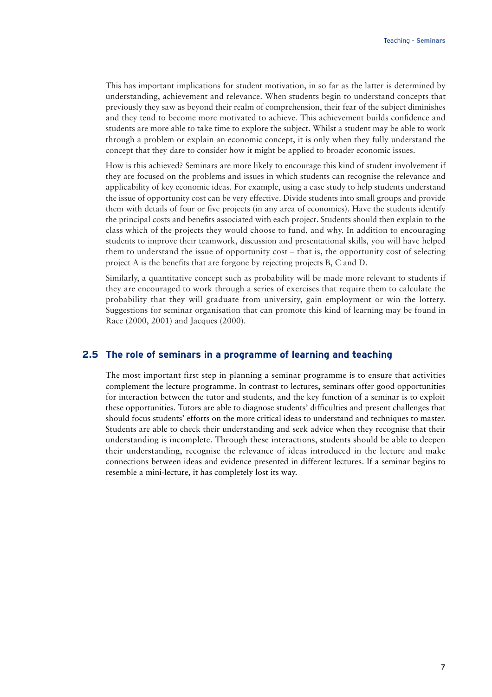This has important implications for student motivation, in so far as the latter is determined by understanding, achievement and relevance. When students begin to understand concepts that previously they saw as beyond their realm of comprehension, their fear of the subject diminishes and they tend to become more motivated to achieve. This achievement builds confidence and students are more able to take time to explore the subject. Whilst a student may be able to work through a problem or explain an economic concept, it is only when they fully understand the concept that they dare to consider how it might be applied to broader economic issues.

How is this achieved? Seminars are more likely to encourage this kind of student involvement if they are focused on the problems and issues in which students can recognise the relevance and applicability of key economic ideas. For example, using a case study to help students understand the issue of opportunity cost can be very effective. Divide students into small groups and provide them with details of four or five projects (in any area of economics). Have the students identify the principal costs and benefits associated with each project. Students should then explain to the class which of the projects they would choose to fund, and why. In addition to encouraging students to improve their teamwork, discussion and presentational skills, you will have helped them to understand the issue of opportunity cost – that is, the opportunity cost of selecting project A is the benefits that are forgone by rejecting projects B, C and D.

Similarly, a quantitative concept such as probability will be made more relevant to students if they are encouraged to work through a series of exercises that require them to calculate the probability that they will graduate from university, gain employment or win the lottery. Suggestions for seminar organisation that can promote this kind of learning may be found in Race (2000, 2001) and Jacques (2000).

#### **2.5 The role of seminars in a programme of learning and teaching**

The most important first step in planning a seminar programme is to ensure that activities complement the lecture programme. In contrast to lectures, seminars offer good opportunities for interaction between the tutor and students, and the key function of a seminar is to exploit these opportunities. Tutors are able to diagnose students' difficulties and present challenges that should focus students' efforts on the more critical ideas to understand and techniques to master. Students are able to check their understanding and seek advice when they recognise that their understanding is incomplete. Through these interactions, students should be able to deepen their understanding, recognise the relevance of ideas introduced in the lecture and make connections between ideas and evidence presented in different lectures. If a seminar begins to resemble a mini-lecture, it has completely lost its way.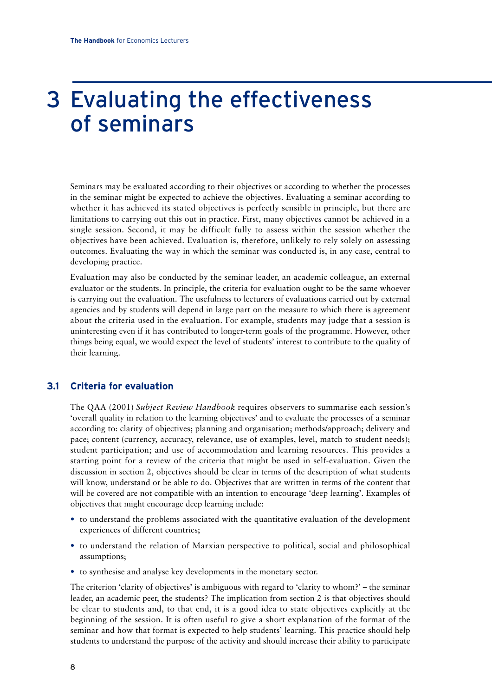# 3 Evaluating the effectiveness of seminars

Seminars may be evaluated according to their objectives or according to whether the processes in the seminar might be expected to achieve the objectives. Evaluating a seminar according to whether it has achieved its stated objectives is perfectly sensible in principle, but there are limitations to carrying out this out in practice. First, many objectives cannot be achieved in a single session. Second, it may be difficult fully to assess within the session whether the objectives have been achieved. Evaluation is, therefore, unlikely to rely solely on assessing outcomes. Evaluating the way in which the seminar was conducted is, in any case, central to developing practice.

Evaluation may also be conducted by the seminar leader, an academic colleague, an external evaluator or the students. In principle, the criteria for evaluation ought to be the same whoever is carrying out the evaluation. The usefulness to lecturers of evaluations carried out by external agencies and by students will depend in large part on the measure to which there is agreement about the criteria used in the evaluation. For example, students may judge that a session is uninteresting even if it has contributed to longer-term goals of the programme. However, other things being equal, we would expect the level of students' interest to contribute to the quality of their learning.

# **3.1 Criteria for evaluation**

The QAA (2001) *Subject Review Handbook* requires observers to summarise each session's 'overall quality in relation to the learning objectives' and to evaluate the processes of a seminar according to: clarity of objectives; planning and organisation; methods/approach; delivery and pace; content (currency, accuracy, relevance, use of examples, level, match to student needs); student participation; and use of accommodation and learning resources. This provides a starting point for a review of the criteria that might be used in self-evaluation. Given the discussion in section 2, objectives should be clear in terms of the description of what students will know, understand or be able to do. Objectives that are written in terms of the content that will be covered are not compatible with an intention to encourage 'deep learning'. Examples of objectives that might encourage deep learning include:

- to understand the problems associated with the quantitative evaluation of the development experiences of different countries;
- to understand the relation of Marxian perspective to political, social and philosophical assumptions;
- to synthesise and analyse key developments in the monetary sector.

The criterion 'clarity of objectives' is ambiguous with regard to 'clarity to whom?' – the seminar leader, an academic peer, the students? The implication from section 2 is that objectives should be clear to students and, to that end, it is a good idea to state objectives explicitly at the beginning of the session. It is often useful to give a short explanation of the format of the seminar and how that format is expected to help students' learning. This practice should help students to understand the purpose of the activity and should increase their ability to participate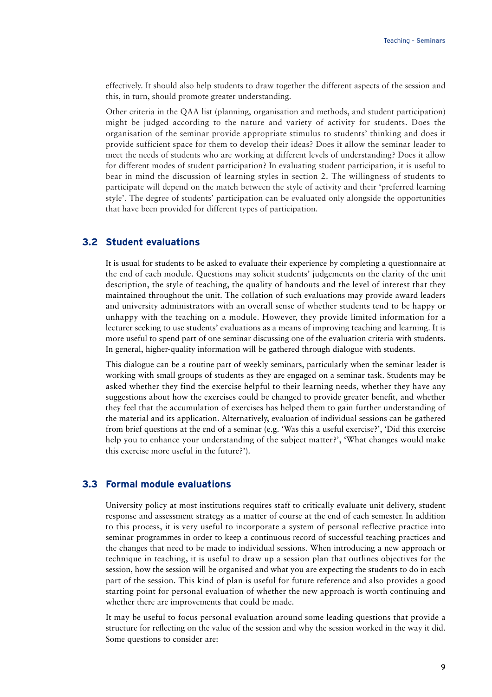effectively. It should also help students to draw together the different aspects of the session and this, in turn, should promote greater understanding.

Other criteria in the QAA list (planning, organisation and methods, and student participation) might be judged according to the nature and variety of activity for students. Does the organisation of the seminar provide appropriate stimulus to students' thinking and does it provide sufficient space for them to develop their ideas? Does it allow the seminar leader to meet the needs of students who are working at different levels of understanding? Does it allow for different modes of student participation? In evaluating student participation, it is useful to bear in mind the discussion of learning styles in section 2. The willingness of students to participate will depend on the match between the style of activity and their 'preferred learning style'. The degree of students' participation can be evaluated only alongside the opportunities that have been provided for different types of participation.

#### **3.2 Student evaluations**

It is usual for students to be asked to evaluate their experience by completing a questionnaire at the end of each module. Questions may solicit students' judgements on the clarity of the unit description, the style of teaching, the quality of handouts and the level of interest that they maintained throughout the unit. The collation of such evaluations may provide award leaders and university administrators with an overall sense of whether students tend to be happy or unhappy with the teaching on a module. However, they provide limited information for a lecturer seeking to use students' evaluations as a means of improving teaching and learning. It is more useful to spend part of one seminar discussing one of the evaluation criteria with students. In general, higher-quality information will be gathered through dialogue with students.

This dialogue can be a routine part of weekly seminars, particularly when the seminar leader is working with small groups of students as they are engaged on a seminar task. Students may be asked whether they find the exercise helpful to their learning needs, whether they have any suggestions about how the exercises could be changed to provide greater benefit, and whether they feel that the accumulation of exercises has helped them to gain further understanding of the material and its application. Alternatively, evaluation of individual sessions can be gathered from brief questions at the end of a seminar (e.g. 'Was this a useful exercise?', 'Did this exercise help you to enhance your understanding of the subject matter?', 'What changes would make this exercise more useful in the future?').

## **3.3 Formal module evaluations**

University policy at most institutions requires staff to critically evaluate unit delivery, student response and assessment strategy as a matter of course at the end of each semester. In addition to this process, it is very useful to incorporate a system of personal reflective practice into seminar programmes in order to keep a continuous record of successful teaching practices and the changes that need to be made to individual sessions. When introducing a new approach or technique in teaching, it is useful to draw up a session plan that outlines objectives for the session, how the session will be organised and what you are expecting the students to do in each part of the session. This kind of plan is useful for future reference and also provides a good starting point for personal evaluation of whether the new approach is worth continuing and whether there are improvements that could be made.

It may be useful to focus personal evaluation around some leading questions that provide a structure for reflecting on the value of the session and why the session worked in the way it did. Some questions to consider are: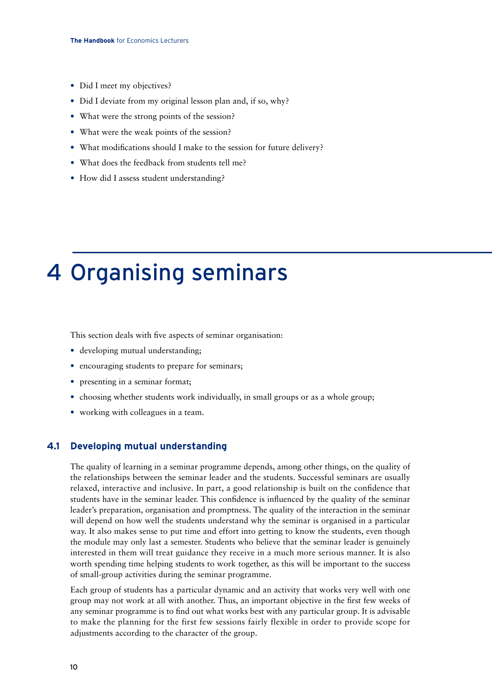- Did I meet my objectives?
- Did I deviate from my original lesson plan and, if so, why?
- What were the strong points of the session?
- What were the weak points of the session?
- What modifications should I make to the session for future delivery?
- What does the feedback from students tell me?
- How did I assess student understanding?

# 4 Organising seminars

This section deals with five aspects of seminar organisation:

- developing mutual understanding;
- encouraging students to prepare for seminars;
- presenting in a seminar format;
- choosing whether students work individually, in small groups or as a whole group;
- working with colleagues in a team.

#### **4.1 Developing mutual understanding**

The quality of learning in a seminar programme depends, among other things, on the quality of the relationships between the seminar leader and the students. Successful seminars are usually relaxed, interactive and inclusive. In part, a good relationship is built on the confidence that students have in the seminar leader. This confidence is influenced by the quality of the seminar leader's preparation, organisation and promptness. The quality of the interaction in the seminar will depend on how well the students understand why the seminar is organised in a particular way. It also makes sense to put time and effort into getting to know the students, even though the module may only last a semester. Students who believe that the seminar leader is genuinely interested in them will treat guidance they receive in a much more serious manner. It is also worth spending time helping students to work together, as this will be important to the success of small-group activities during the seminar programme.

Each group of students has a particular dynamic and an activity that works very well with one group may not work at all with another. Thus, an important objective in the first few weeks of any seminar programme is to find out what works best with any particular group. It is advisable to make the planning for the first few sessions fairly flexible in order to provide scope for adjustments according to the character of the group.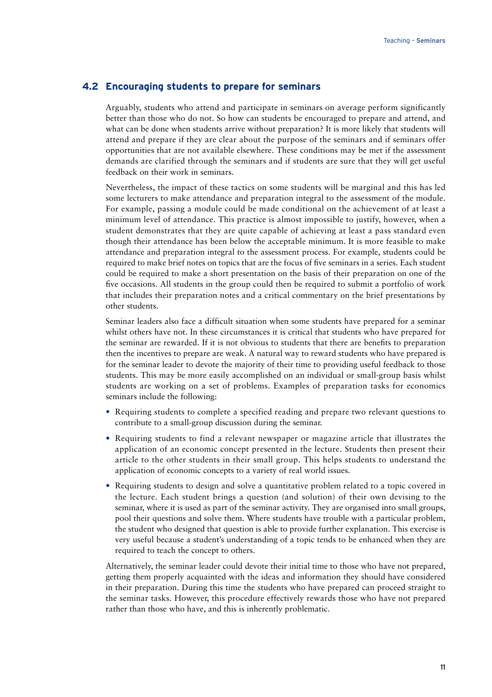#### **4.2 Encouraging students to prepare for seminars**

Arguably, students who attend and participate in seminars on average perform significantly better than those who do not. So how can students be encouraged to prepare and attend, and what can be done when students arrive without preparation? It is more likely that students will attend and prepare if they are clear about the purpose of the seminars and if seminars offer opportunities that are not available elsewhere. These conditions may be met if the assessment demands are clarified through the seminars and if students are sure that they will get useful feedback on their work in seminars.

Nevertheless, the impact of these tactics on some students will be marginal and this has led some lecturers to make attendance and preparation integral to the assessment of the module. For example, passing a module could be made conditional on the achievement of at least a minimum level of attendance. This practice is almost impossible to justify, however, when a student demonstrates that they are quite capable of achieving at least a pass standard even though their attendance has been below the acceptable minimum. It is more feasible to make attendance and preparation integral to the assessment process. For example, students could be required to make brief notes on topics that are the focus of five seminars in a series. Each student could be required to make a short presentation on the basis of their preparation on one of the five occasions. All students in the group could then be required to submit a portfolio of work that includes their preparation notes and a critical commentary on the brief presentations by other students.

Seminar leaders also face a difficult situation when some students have prepared for a seminar whilst others have not. In these circumstances it is critical that students who have prepared for the seminar are rewarded. If it is not obvious to students that there are benefits to preparation then the incentives to prepare are weak. A natural way to reward students who have prepared is for the seminar leader to devote the majority of their time to providing useful feedback to those students. This may be more easily accomplished on an individual or small-group basis whilst students are working on a set of problems. Examples of preparation tasks for economics seminars include the following:

- Requiring students to complete a specified reading and prepare two relevant questions to contribute to a small-group discussion during the seminar.
- Requiring students to find a relevant newspaper or magazine article that illustrates the application of an economic concept presented in the lecture. Students then present their article to the other students in their small group. This helps students to understand the application of economic concepts to a variety of real world issues.
- Requiring students to design and solve a quantitative problem related to a topic covered in the lecture. Each student brings a question (and solution) of their own devising to the seminar, where it is used as part of the seminar activity. They are organised into small groups, pool their questions and solve them. Where students have trouble with a particular problem, the student who designed that question is able to provide further explanation. This exercise is very useful because a student's understanding of a topic tends to be enhanced when they are required to teach the concept to others.

Alternatively, the seminar leader could devote their initial time to those who have not prepared, getting them properly acquainted with the ideas and information they should have considered in their preparation. During this time the students who have prepared can proceed straight to the seminar tasks. However, this procedure effectively rewards those who have not prepared rather than those who have, and this is inherently problematic.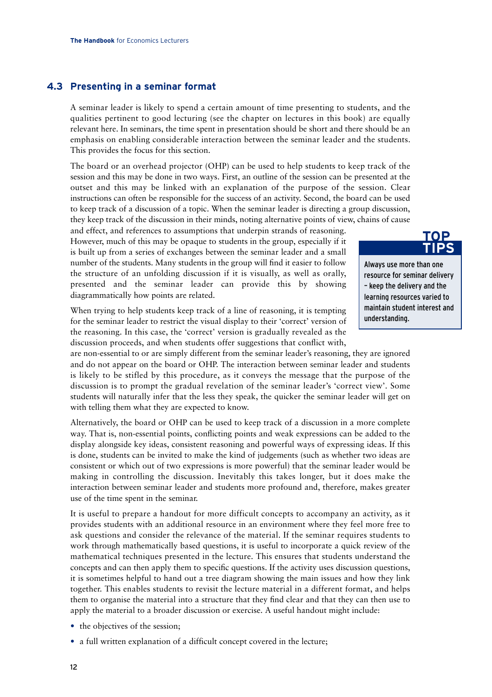#### **4.3 Presenting in a seminar format**

A seminar leader is likely to spend a certain amount of time presenting to students, and the qualities pertinent to good lecturing (see the chapter on lectures in this book) are equally relevant here. In seminars, the time spent in presentation should be short and there should be an emphasis on enabling considerable interaction between the seminar leader and the students. This provides the focus for this section.

The board or an overhead projector (OHP) can be used to help students to keep track of the session and this may be done in two ways. First, an outline of the session can be presented at the outset and this may be linked with an explanation of the purpose of the session. Clear instructions can often be responsible for the success of an activity. Second, the board can be used to keep track of a discussion of a topic. When the seminar leader is directing a group discussion, they keep track of the discussion in their minds, noting alternative points of view, chains of cause

and effect, and references to assumptions that underpin strands of reasoning. However, much of this may be opaque to students in the group, especially if it is built up from a series of exchanges between the seminar leader and a small number of the students. Many students in the group will find it easier to follow the structure of an unfolding discussion if it is visually, as well as orally, presented and the seminar leader can provide this by showing diagrammatically how points are related.

understanding.



Always use more than one resource for seminar delivery – keep the delivery and the learning resources varied to maintain student interest and

When trying to help students keep track of a line of reasoning, it is tempting for the seminar leader to restrict the visual display to their 'correct' version of the reasoning. In this case, the 'correct' version is gradually revealed as the discussion proceeds, and when students offer suggestions that conflict with,

are non-essential to or are simply different from the seminar leader's reasoning, they are ignored and do not appear on the board or OHP. The interaction between seminar leader and students is likely to be stifled by this procedure, as it conveys the message that the purpose of the discussion is to prompt the gradual revelation of the seminar leader's 'correct view'. Some students will naturally infer that the less they speak, the quicker the seminar leader will get on with telling them what they are expected to know.

Alternatively, the board or OHP can be used to keep track of a discussion in a more complete way. That is, non-essential points, conflicting points and weak expressions can be added to the display alongside key ideas, consistent reasoning and powerful ways of expressing ideas. If this is done, students can be invited to make the kind of judgements (such as whether two ideas are consistent or which out of two expressions is more powerful) that the seminar leader would be making in controlling the discussion. Inevitably this takes longer, but it does make the interaction between seminar leader and students more profound and, therefore, makes greater use of the time spent in the seminar.

It is useful to prepare a handout for more difficult concepts to accompany an activity, as it provides students with an additional resource in an environment where they feel more free to ask questions and consider the relevance of the material. If the seminar requires students to work through mathematically based questions, it is useful to incorporate a quick review of the mathematical techniques presented in the lecture. This ensures that students understand the concepts and can then apply them to specific questions. If the activity uses discussion questions, it is sometimes helpful to hand out a tree diagram showing the main issues and how they link together. This enables students to revisit the lecture material in a different format, and helps them to organise the material into a structure that they find clear and that they can then use to apply the material to a broader discussion or exercise. A useful handout might include:

- the objectives of the session;
- a full written explanation of a difficult concept covered in the lecture;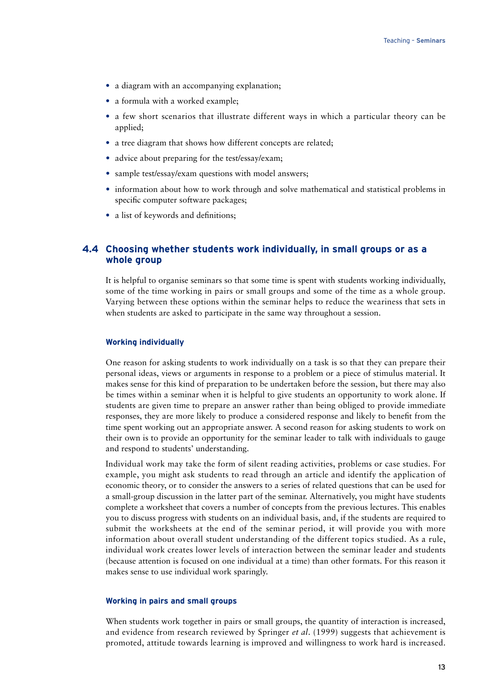- a diagram with an accompanying explanation;
- a formula with a worked example;
- a few short scenarios that illustrate different ways in which a particular theory can be applied;
- a tree diagram that shows how different concepts are related;
- advice about preparing for the test/essay/exam;
- sample test/essay/exam questions with model answers;
- information about how to work through and solve mathematical and statistical problems in specific computer software packages;
- a list of keywords and definitions;

### **4.4 Choosing whether students work individually, in small groups or as a whole group**

It is helpful to organise seminars so that some time is spent with students working individually, some of the time working in pairs or small groups and some of the time as a whole group. Varying between these options within the seminar helps to reduce the weariness that sets in when students are asked to participate in the same way throughout a session.

#### **Working individually**

One reason for asking students to work individually on a task is so that they can prepare their personal ideas, views or arguments in response to a problem or a piece of stimulus material. It makes sense for this kind of preparation to be undertaken before the session, but there may also be times within a seminar when it is helpful to give students an opportunity to work alone. If students are given time to prepare an answer rather than being obliged to provide immediate responses, they are more likely to produce a considered response and likely to benefit from the time spent working out an appropriate answer. A second reason for asking students to work on their own is to provide an opportunity for the seminar leader to talk with individuals to gauge and respond to students' understanding.

Individual work may take the form of silent reading activities, problems or case studies. For example, you might ask students to read through an article and identify the application of economic theory, or to consider the answers to a series of related questions that can be used for a small-group discussion in the latter part of the seminar. Alternatively, you might have students complete a worksheet that covers a number of concepts from the previous lectures. This enables you to discuss progress with students on an individual basis, and, if the students are required to submit the worksheets at the end of the seminar period, it will provide you with more information about overall student understanding of the different topics studied. As a rule, individual work creates lower levels of interaction between the seminar leader and students (because attention is focused on one individual at a time) than other formats. For this reason it makes sense to use individual work sparingly.

#### **Working in pairs and small groups**

When students work together in pairs or small groups, the quantity of interaction is increased, and evidence from research reviewed by Springer *et al*. (1999) suggests that achievement is promoted, attitude towards learning is improved and willingness to work hard is increased.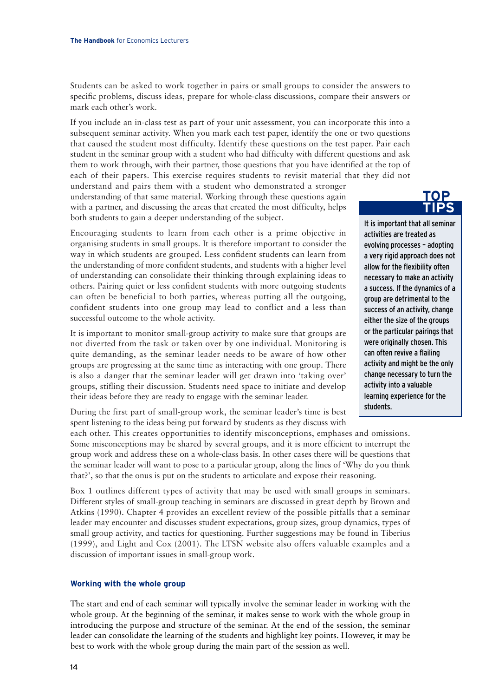Students can be asked to work together in pairs or small groups to consider the answers to specific problems, discuss ideas, prepare for whole-class discussions, compare their answers or mark each other's work.

If you include an in-class test as part of your unit assessment, you can incorporate this into a subsequent seminar activity. When you mark each test paper, identify the one or two questions that caused the student most difficulty. Identify these questions on the test paper. Pair each student in the seminar group with a student who had difficulty with different questions and ask them to work through, with their partner, those questions that you have identified at the top of each of their papers. This exercise requires students to revisit material that they did not

understand and pairs them with a student who demonstrated a stronger understanding of that same material. Working through these questions again with a partner, and discussing the areas that created the most difficulty, helps both students to gain a deeper understanding of the subject.

Encouraging students to learn from each other is a prime objective in organising students in small groups. It is therefore important to consider the way in which students are grouped. Less confident students can learn from the understanding of more confident students, and students with a higher level of understanding can consolidate their thinking through explaining ideas to others. Pairing quiet or less confident students with more outgoing students can often be beneficial to both parties, whereas putting all the outgoing, confident students into one group may lead to conflict and a less than successful outcome to the whole activity.

It is important to monitor small-group activity to make sure that groups are not diverted from the task or taken over by one individual. Monitoring is quite demanding, as the seminar leader needs to be aware of how other groups are progressing at the same time as interacting with one group. There is also a danger that the seminar leader will get drawn into 'taking over' groups, stifling their discussion. Students need space to initiate and develop their ideas before they are ready to engage with the seminar leader.

During the first part of small-group work, the seminar leader's time is best spent listening to the ideas being put forward by students as they discuss with

each other. This creates opportunities to identify misconceptions, emphases and omissions. Some misconceptions may be shared by several groups, and it is more efficient to interrupt the group work and address these on a whole-class basis. In other cases there will be questions that the seminar leader will want to pose to a particular group, along the lines of 'Why do you think that?', so that the onus is put on the students to articulate and expose their reasoning.

Box 1 outlines different types of activity that may be used with small groups in seminars. Different styles of small-group teaching in seminars are discussed in great depth by Brown and Atkins (1990). Chapter 4 provides an excellent review of the possible pitfalls that a seminar leader may encounter and discusses student expectations, group sizes, group dynamics, types of small group activity, and tactics for questioning. Further suggestions may be found in Tiberius (1999), and Light and Cox (2001). The LTSN website also offers valuable examples and a discussion of important issues in small-group work.

#### **Working with the whole group**

The start and end of each seminar will typically involve the seminar leader in working with the whole group. At the beginning of the seminar, it makes sense to work with the whole group in introducing the purpose and structure of the seminar. At the end of the session, the seminar leader can consolidate the learning of the students and highlight key points. However, it may be best to work with the whole group during the main part of the session as well.



It is important that all seminar activities are treated as evolving processes – adopting a very rigid approach does not allow for the flexibility often necessary to make an activity a success. If the dynamics of a group are detrimental to the success of an activity, change either the size of the groups or the particular pairings that were originally chosen. This can often revive a flailing activity and might be the only change necessary to turn the activity into a valuable learning experience for the students.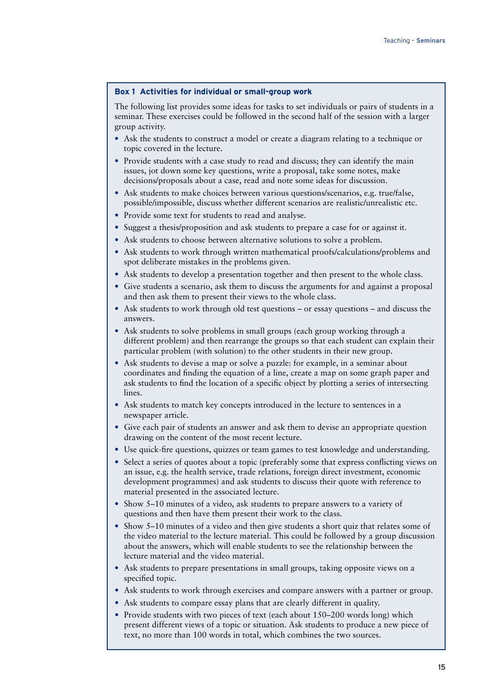#### **Box 1 Activities for individual or small-group work**

The following list provides some ideas for tasks to set individuals or pairs of students in a seminar. These exercises could be followed in the second half of the session with a larger group activity.

- Ask the students to construct a model or create a diagram relating to a technique or topic covered in the lecture.
- Provide students with a case study to read and discuss; they can identify the main issues, jot down some key questions, write a proposal, take some notes, make decisions/proposals about a case, read and note some ideas for discussion.
- Ask students to make choices between various questions/scenarios, e.g. true/false, possible/impossible, discuss whether different scenarios are realistic/unrealistic etc.
- Provide some text for students to read and analyse.
- Suggest a thesis/proposition and ask students to prepare a case for or against it.
- Ask students to choose between alternative solutions to solve a problem.
- Ask students to work through written mathematical proofs/calculations/problems and spot deliberate mistakes in the problems given.
- Ask students to develop a presentation together and then present to the whole class.
- Give students a scenario, ask them to discuss the arguments for and against a proposal and then ask them to present their views to the whole class.
- Ask students to work through old test questions or essay questions and discuss the answers.
- Ask students to solve problems in small groups (each group working through a different problem) and then rearrange the groups so that each student can explain their particular problem (with solution) to the other students in their new group.
- Ask students to devise a map or solve a puzzle: for example, in a seminar about coordinates and finding the equation of a line, create a map on some graph paper and ask students to find the location of a specific object by plotting a series of intersecting lines.
- Ask students to match key concepts introduced in the lecture to sentences in a newspaper article.
- Give each pair of students an answer and ask them to devise an appropriate question drawing on the content of the most recent lecture.
- Use quick-fire questions, quizzes or team games to test knowledge and understanding.
- Select a series of quotes about a topic (preferably some that express conflicting views on an issue, e.g. the health service, trade relations, foreign direct investment, economic development programmes) and ask students to discuss their quote with reference to material presented in the associated lecture.
- Show 5–10 minutes of a video, ask students to prepare answers to a variety of questions and then have them present their work to the class.
- Show 5–10 minutes of a video and then give students a short quiz that relates some of the video material to the lecture material. This could be followed by a group discussion about the answers, which will enable students to see the relationship between the lecture material and the video material.
- Ask students to prepare presentations in small groups, taking opposite views on a specified topic.
- Ask students to work through exercises and compare answers with a partner or group.
- Ask students to compare essay plans that are clearly different in quality.
- Provide students with two pieces of text (each about 150–200 words long) which present different views of a topic or situation. Ask students to produce a new piece of text, no more than 100 words in total, which combines the two sources.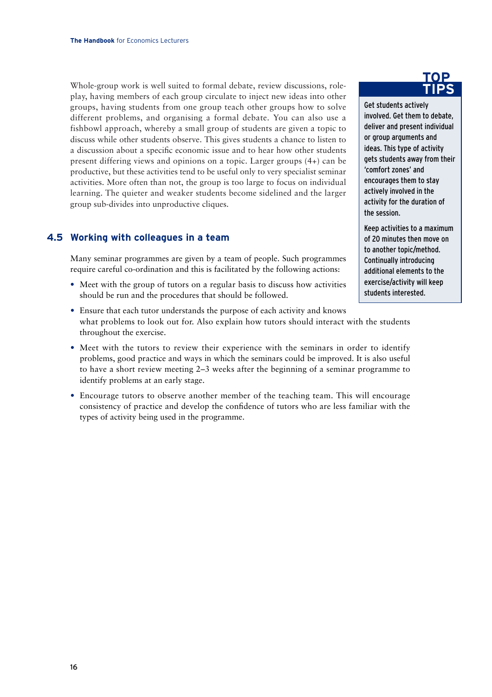Whole-group work is well suited to formal debate, review discussions, roleplay, having members of each group circulate to inject new ideas into other groups, having students from one group teach other groups how to solve different problems, and organising a formal debate. You can also use a fishbowl approach, whereby a small group of students are given a topic to discuss while other students observe. This gives students a chance to listen to a discussion about a specific economic issue and to hear how other students present differing views and opinions on a topic. Larger groups (4+) can be productive, but these activities tend to be useful only to very specialist seminar activities. More often than not, the group is too large to focus on individual learning. The quieter and weaker students become sidelined and the larger group sub-divides into unproductive cliques.

### **4.5 Working with colleagues in a team**

Many seminar programmes are given by a team of people. Such programmes require careful co-ordination and this is facilitated by the following actions:

- Meet with the group of tutors on a regular basis to discuss how activities should be run and the procedures that should be followed.
- Ensure that each tutor understands the purpose of each activity and knows what problems to look out for. Also explain how tutors should interact with the students throughout the exercise.
- Meet with the tutors to review their experience with the seminars in order to identify problems, good practice and ways in which the seminars could be improved. It is also useful to have a short review meeting 2–3 weeks after the beginning of a seminar programme to identify problems at an early stage.
- Encourage tutors to observe another member of the teaching team. This will encourage consistency of practice and develop the confidence of tutors who are less familiar with the types of activity being used in the programme.

# **TOP TIPS**

Get students actively involved. Get them to debate, deliver and present individual or group arguments and ideas. This type of activity gets students away from their 'comfort zones' and encourages them to stay actively involved in the activity for the duration of the session.

Keep activities to a maximum of 20 minutes then move on to another topic/method. Continually introducing additional elements to the exercise/activity will keep students interested.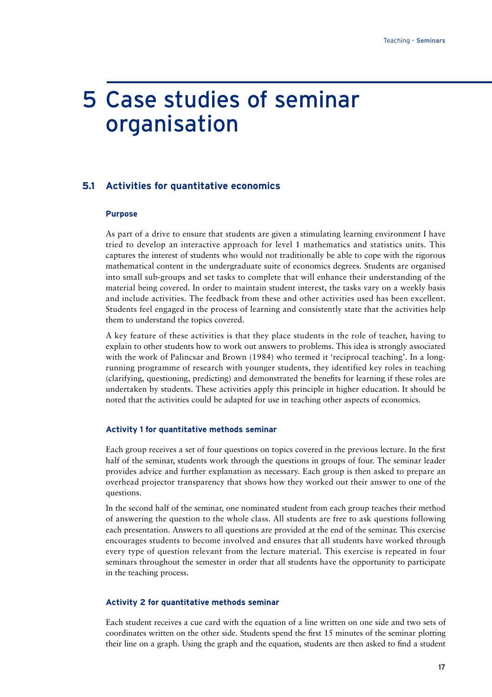# 5 Case studies of seminar organisation

#### **5.1 Activities for quantitative economics**

#### **Purpose**

As part of a drive to ensure that students are given a stimulating learning environment I have tried to develop an interactive approach for level 1 mathematics and statistics units. This captures the interest of students who would not traditionally be able to cope with the rigorous mathematical content in the undergraduate suite of economics degrees. Students are organised into small sub-groups and set tasks to complete that will enhance their understanding of the material being covered. In order to maintain student interest, the tasks vary on a weekly basis and include activities. The feedback from these and other activities used has been excellent. Students feel engaged in the process of learning and consistently state that the activities help them to understand the topics covered.

A key feature of these activities is that they place students in the role of teacher, having to explain to other students how to work out answers to problems. This idea is strongly associated with the work of Palincsar and Brown (1984) who termed it 'reciprocal teaching'. In a longrunning programme of research with younger students, they identified key roles in teaching (clarifying, questioning, predicting) and demonstrated the benefits for learning if these roles are undertaken by students. These activities apply this principle in higher education. It should be noted that the activities could be adapted for use in teaching other aspects of economics.

#### **Activity 1 for quantitative methods seminar**

Each group receives a set of four questions on topics covered in the previous lecture. In the first half of the seminar, students work through the questions in groups of four. The seminar leader provides advice and further explanation as necessary. Each group is then asked to prepare an overhead projector transparency that shows how they worked out their answer to one of the questions.

In the second half of the seminar, one nominated student from each group teaches their method of answering the question to the whole class. All students are free to ask questions following each presentation. Answers to all questions are provided at the end of the seminar. This exercise encourages students to become involved and ensures that all students have worked through every type of question relevant from the lecture material. This exercise is repeated in four seminars throughout the semester in order that all students have the opportunity to participate in the teaching process.

#### **Activity 2 for quantitative methods seminar**

Each student receives a cue card with the equation of a line written on one side and two sets of coordinates written on the other side. Students spend the first 15 minutes of the seminar plotting their line on a graph. Using the graph and the equation, students are then asked to find a student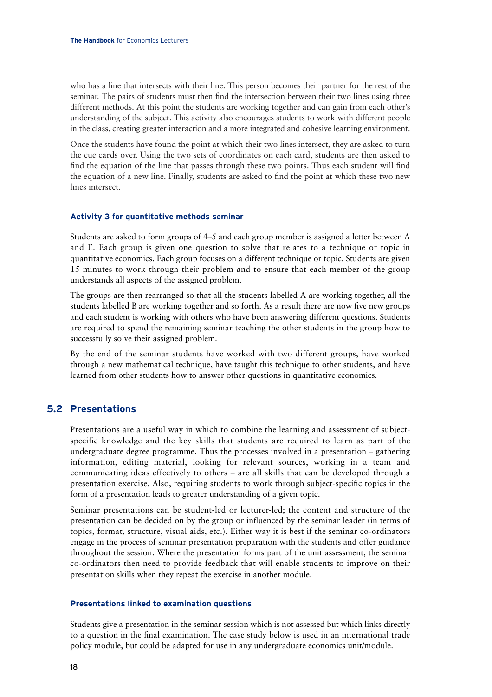who has a line that intersects with their line. This person becomes their partner for the rest of the seminar. The pairs of students must then find the intersection between their two lines using three different methods. At this point the students are working together and can gain from each other's understanding of the subject. This activity also encourages students to work with different people in the class, creating greater interaction and a more integrated and cohesive learning environment.

Once the students have found the point at which their two lines intersect, they are asked to turn the cue cards over. Using the two sets of coordinates on each card, students are then asked to find the equation of the line that passes through these two points. Thus each student will find the equation of a new line. Finally, students are asked to find the point at which these two new lines intersect.

#### **Activity 3 for quantitative methods seminar**

Students are asked to form groups of 4–5 and each group member is assigned a letter between A and E. Each group is given one question to solve that relates to a technique or topic in quantitative economics. Each group focuses on a different technique or topic. Students are given 15 minutes to work through their problem and to ensure that each member of the group understands all aspects of the assigned problem.

The groups are then rearranged so that all the students labelled A are working together, all the students labelled B are working together and so forth. As a result there are now five new groups and each student is working with others who have been answering different questions. Students are required to spend the remaining seminar teaching the other students in the group how to successfully solve their assigned problem.

By the end of the seminar students have worked with two different groups, have worked through a new mathematical technique, have taught this technique to other students, and have learned from other students how to answer other questions in quantitative economics.

### **5.2 Presentations**

Presentations are a useful way in which to combine the learning and assessment of subjectspecific knowledge and the key skills that students are required to learn as part of the undergraduate degree programme. Thus the processes involved in a presentation – gathering information, editing material, looking for relevant sources, working in a team and communicating ideas effectively to others – are all skills that can be developed through a presentation exercise. Also, requiring students to work through subject-specific topics in the form of a presentation leads to greater understanding of a given topic.

Seminar presentations can be student-led or lecturer-led; the content and structure of the presentation can be decided on by the group or influenced by the seminar leader (in terms of topics, format, structure, visual aids, etc.). Either way it is best if the seminar co-ordinators engage in the process of seminar presentation preparation with the students and offer guidance throughout the session. Where the presentation forms part of the unit assessment, the seminar co-ordinators then need to provide feedback that will enable students to improve on their presentation skills when they repeat the exercise in another module.

#### **Presentations linked to examination questions**

Students give a presentation in the seminar session which is not assessed but which links directly to a question in the final examination. The case study below is used in an international trade policy module, but could be adapted for use in any undergraduate economics unit/module.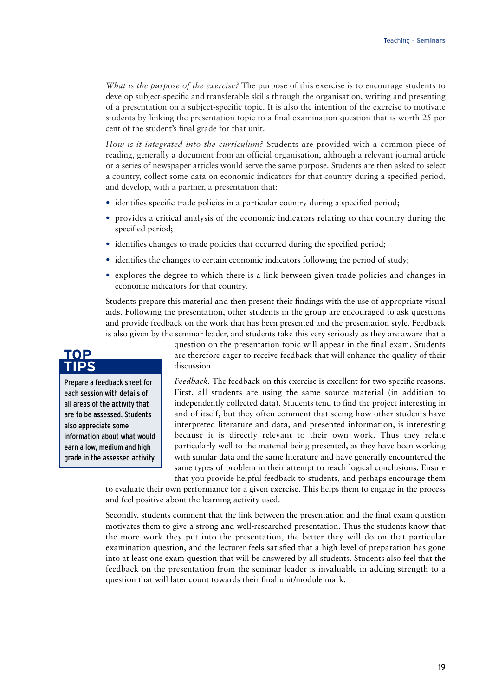*What is the purpose of the exercise?* The purpose of this exercise is to encourage students to develop subject-specific and transferable skills through the organisation, writing and presenting of a presentation on a subject-specific topic. It is also the intention of the exercise to motivate students by linking the presentation topic to a final examination question that is worth 25 per cent of the student's final grade for that unit.

*How is it integrated into the curriculum?* Students are provided with a common piece of reading, generally a document from an official organisation, although a relevant journal article or a series of newspaper articles would serve the same purpose. Students are then asked to select a country, collect some data on economic indicators for that country during a specified period, and develop, with a partner, a presentation that:

- identifies specific trade policies in a particular country during a specified period;
- provides a critical analysis of the economic indicators relating to that country during the specified period;
- identifies changes to trade policies that occurred during the specified period;
- identifies the changes to certain economic indicators following the period of study;
- explores the degree to which there is a link between given trade policies and changes in economic indicators for that country.

Students prepare this material and then present their findings with the use of appropriate visual aids. Following the presentation, other students in the group are encouraged to ask questions and provide feedback on the work that has been presented and the presentation style. Feedback is also given by the seminar leader, and students take this very seriously as they are aware that a

# **TOP TIPS**

Prepare a feedback sheet for each session with details of all areas of the activity that are to be assessed. Students also appreciate some information about what would earn a low, medium and high grade in the assessed activity. question on the presentation topic will appear in the final exam. Students are therefore eager to receive feedback that will enhance the quality of their discussion.

*Feedback.* The feedback on this exercise is excellent for two specific reasons. First, all students are using the same source material (in addition to independently collected data). Students tend to find the project interesting in and of itself, but they often comment that seeing how other students have interpreted literature and data, and presented information, is interesting because it is directly relevant to their own work. Thus they relate particularly well to the material being presented, as they have been working with similar data and the same literature and have generally encountered the same types of problem in their attempt to reach logical conclusions. Ensure that you provide helpful feedback to students, and perhaps encourage them

to evaluate their own performance for a given exercise. This helps them to engage in the process and feel positive about the learning activity used.

Secondly, students comment that the link between the presentation and the final exam question motivates them to give a strong and well-researched presentation. Thus the students know that the more work they put into the presentation, the better they will do on that particular examination question, and the lecturer feels satisfied that a high level of preparation has gone into at least one exam question that will be answered by all students. Students also feel that the feedback on the presentation from the seminar leader is invaluable in adding strength to a question that will later count towards their final unit/module mark.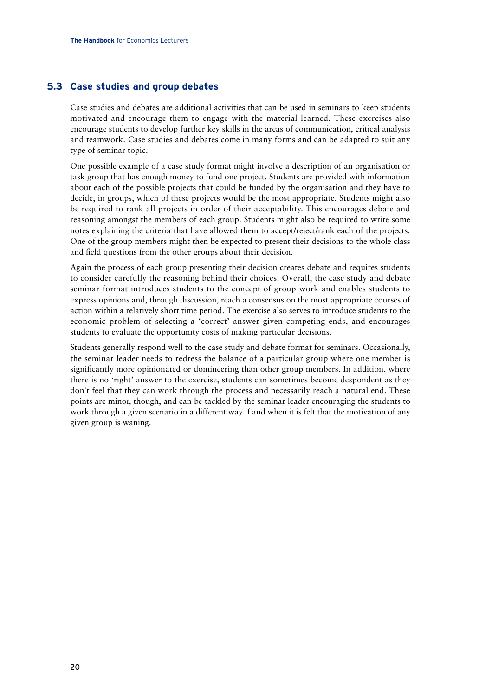## **5.3 Case studies and group debates**

Case studies and debates are additional activities that can be used in seminars to keep students motivated and encourage them to engage with the material learned. These exercises also encourage students to develop further key skills in the areas of communication, critical analysis and teamwork. Case studies and debates come in many forms and can be adapted to suit any type of seminar topic.

One possible example of a case study format might involve a description of an organisation or task group that has enough money to fund one project. Students are provided with information about each of the possible projects that could be funded by the organisation and they have to decide, in groups, which of these projects would be the most appropriate. Students might also be required to rank all projects in order of their acceptability. This encourages debate and reasoning amongst the members of each group. Students might also be required to write some notes explaining the criteria that have allowed them to accept/reject/rank each of the projects. One of the group members might then be expected to present their decisions to the whole class and field questions from the other groups about their decision.

Again the process of each group presenting their decision creates debate and requires students to consider carefully the reasoning behind their choices. Overall, the case study and debate seminar format introduces students to the concept of group work and enables students to express opinions and, through discussion, reach a consensus on the most appropriate courses of action within a relatively short time period. The exercise also serves to introduce students to the economic problem of selecting a 'correct' answer given competing ends, and encourages students to evaluate the opportunity costs of making particular decisions.

Students generally respond well to the case study and debate format for seminars. Occasionally, the seminar leader needs to redress the balance of a particular group where one member is significantly more opinionated or domineering than other group members. In addition, where there is no 'right' answer to the exercise, students can sometimes become despondent as they don't feel that they can work through the process and necessarily reach a natural end. These points are minor, though, and can be tackled by the seminar leader encouraging the students to work through a given scenario in a different way if and when it is felt that the motivation of any given group is waning.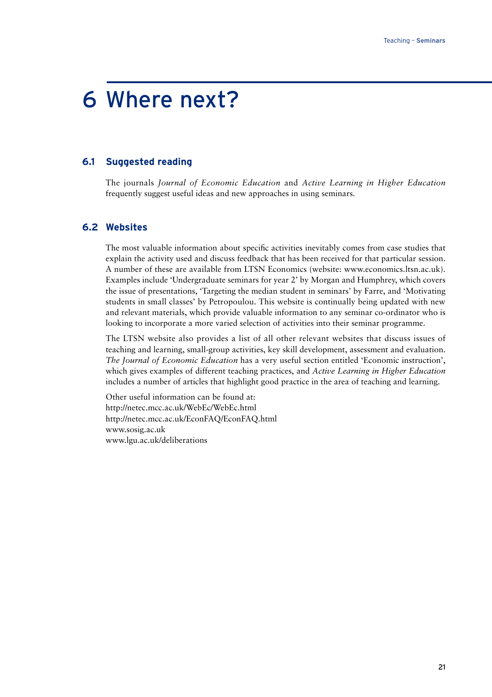# 6 Where next?

#### **6.1 Suggested reading**

The journals *Journal of Economic Education* and *Active Learning in Higher Education* frequently suggest useful ideas and new approaches in using seminars.

# **6.2 Websites**

The most valuable information about specific activities inevitably comes from case studies that explain the activity used and discuss feedback that has been received for that particular session. A number of these are available from LTSN Economics (website: www.economics.ltsn.ac.uk). Examples include 'Undergraduate seminars for year 2' by Morgan and Humphrey, which covers the issue of presentations, 'Targeting the median student in seminars' by Farre, and 'Motivating students in small classes' by Petropoulou. This website is continually being updated with new and relevant materials, which provide valuable information to any seminar co-ordinator who is looking to incorporate a more varied selection of activities into their seminar programme.

The LTSN website also provides a list of all other relevant websites that discuss issues of teaching and learning, small-group activities, key skill development, assessment and evaluation. *The Journal of Economic Education* has a very useful section entitled 'Economic instruction', which gives examples of different teaching practices, and *Active Learning in Higher Education* includes a number of articles that highlight good practice in the area of teaching and learning.

Other useful information can be found at: http://netec.mcc.ac.uk/WebEc/WebEc.html http://netec.mcc.ac.uk/EconFAQ/EconFAQ.html www.sosig.ac.uk www.lgu.ac.uk/deliberations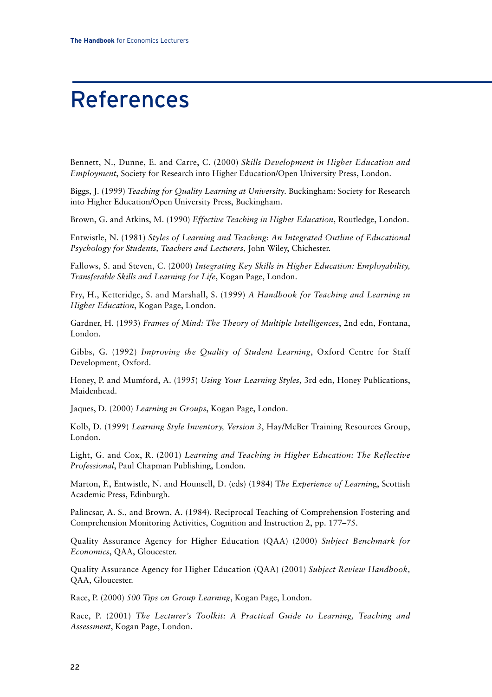# References

Bennett, N., Dunne, E. and Carre, C. (2000) *Skills Development in Higher Education and Employment*, Society for Research into Higher Education/Open University Press, London.

Biggs, J. (1999) *Teaching for Quality Learning at Universit*y. Buckingham: Society for Research into Higher Education/Open University Press, Buckingham.

Brown, G. and Atkins, M. (1990) *Effective Teaching in Higher Education*, Routledge, London.

Entwistle, N. (1981) *Styles of Learning and Teaching: An Integrated Outline of Educational Psychology for Students, Teachers and Lecturers*, John Wiley, Chichester.

Fallows, S. and Steven, C. (2000) *Integrating Key Skills in Higher Education: Employability, Transferable Skills and Learning for Life*, Kogan Page, London.

Fry, H., Ketteridge, S. and Marshall, S. (1999) *A Handbook for Teaching and Learning in Higher Education*, Kogan Page, London.

Gardner, H. (1993) *Frames of Mind: The Theory of Multiple Intelligences*, 2nd edn, Fontana, London.

Gibbs, G. (1992) *Improving the Quality of Student Learning*, Oxford Centre for Staff Development, Oxford.

Honey, P. and Mumford, A. (1995) *Using Your Learning Styles*, 3rd edn, Honey Publications, Maidenhead.

Jaques, D. (2000) *Learning in Groups*, Kogan Page, London.

Kolb, D. (1999) *Learning Style Inventory, Version 3*, Hay/McBer Training Resources Group, London.

Light, G. and Cox, R. (2001) *Learning and Teaching in Higher Education: The Reflective Professional*, Paul Chapman Publishing, London.

Marton, F., Entwistle, N. and Hounsell, D. (eds) (1984) T*he Experience of Learnin*g, Scottish Academic Press, Edinburgh.

Palincsar, A. S., and Brown, A. (1984). Reciprocal Teaching of Comprehension Fostering and Comprehension Monitoring Activities, Cognition and Instruction 2, pp. 177–75.

Quality Assurance Agency for Higher Education (QAA) (2000) *Subject Benchmark for Economics*, QAA, Gloucester.

Quality Assurance Agency for Higher Education (QAA) (2001) *Subject Review Handbook,* QAA, Gloucester.

Race, P. (2000) *500 Tips on Group Learning*, Kogan Page, London.

Race, P. (2001) *The Lecturer's Toolkit: A Practical Guide to Learning, Teaching and Assessment*, Kogan Page, London.